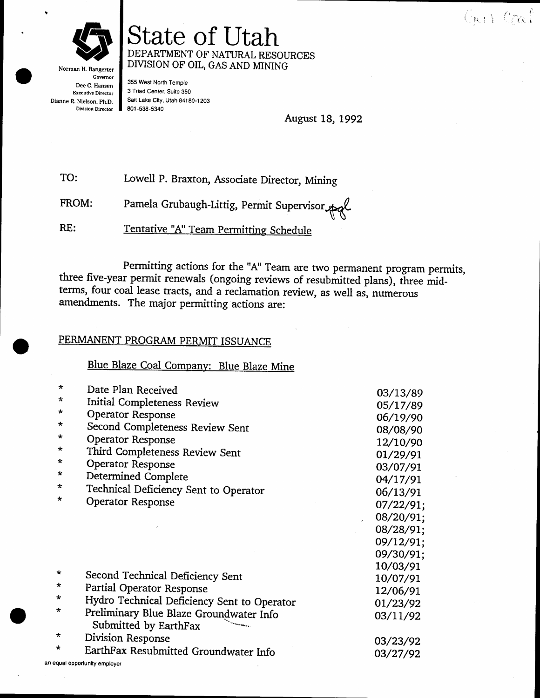

Norman H. Bangerter Governor Dee C. Hansen **Executive Director** Dianne R. Nielson, Ph.D. **Division Director** 

an

State of Utah DEPARTMENT OF NATURAL RESOURCES DIVISION OF OIL, GAS AND MINING

355 West North Temple 3 Triad Center, Suite 350 Sait Lake City, Utah 84180-1203 801-538-5340

August 18, 1992

TO: Lowell P. Braxton, Associate Director, Mining

Pamela Grubaugh-Littig, Permit Supervisor FROM:

RE: Tentative "A" Team Permitting Schedule

Permitting actions for the "A" Team are two permanent program permits, three five-year permit renewals (ongoing reviews of resubmitted plans), three midterms, four coal lease tracts, and a reclamation review, as well as, numerous amendments. The major permitting actions are:

#### PERMANENT PROGRAM PERMIT ISSUANCE

Blue Blaze Coal Company: Blue Blaze Mine

| $\star$ | Date Plan Received                          | 03/13/89  |
|---------|---------------------------------------------|-----------|
| *       | Initial Completeness Review                 | 05/17/89  |
| $\star$ | Operator Response                           |           |
| $\star$ | Second Completeness Review Sent             | 06/19/90  |
| *       |                                             | 08/08/90  |
| $\star$ | Operator Response                           | 12/10/90  |
|         | Third Completeness Review Sent              | 01/29/91  |
| $\star$ | <b>Operator Response</b>                    | 03/07/91  |
| *       | Determined Complete                         | 04/17/91  |
| $\star$ | Technical Deficiency Sent to Operator       | 06/13/91  |
| *       | Operator Response                           | 07/22/91; |
|         |                                             | 08/20/91; |
|         |                                             | 08/28/91; |
|         |                                             | 09/12/91; |
|         |                                             | 09/30/91; |
|         |                                             | 10/03/91  |
| ∗       | Second Technical Deficiency Sent            | 10/07/91  |
| $\star$ | Partial Operator Response                   | 12/06/91  |
| $\star$ | Hydro Technical Deficiency Sent to Operator | 01/23/92  |
| *       | Preliminary Blue Blaze Groundwater Info     | 03/11/92  |
| $\star$ | Submitted by EarthFax                       |           |
|         | Division Response                           | 03/23/92  |
| $\star$ | EarthFax Resubmitted Groundwater Info       | 03/27/92  |
|         | equal opportunity employer                  |           |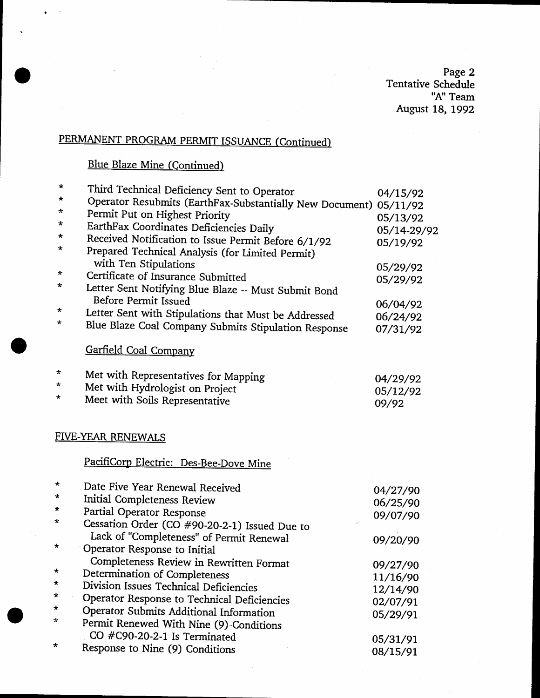Page 2<br>Tentative Schedule<br>"A" Team August 18, 1992

## PERMANENT PROGRAM PERMIT ISSUANCE (Continued)

### **Blue Blaze Mine (Continued)**

| *        | Third Technical Deficiency Sent to Operator                                                                                      | 04/15/92             |
|----------|----------------------------------------------------------------------------------------------------------------------------------|----------------------|
| *<br>*   | Operator Resubmits (EarthFax-Substantially New Document) 05/11/92                                                                |                      |
| *        | Permit Put on Highest Priority                                                                                                   | 05/13/92             |
| *        | EarthFax Coordinates Deficiencies Daily                                                                                          | 05/14-29/92          |
| *        | Received Notification to Issue Permit Before 6/1/92<br>Prepared Technical Analysis (for Limited Permit)<br>with Ten Stipulations | 05/19/92             |
| *        | Certificate of Insurance Submitted                                                                                               | 05/29/92             |
| *        | Letter Sent Notifying Blue Blaze -- Must Submit Bond<br>Before Permit Issued                                                     | 05/29/92             |
| *        |                                                                                                                                  | 06/04/92             |
| *        | Letter Sent with Stipulations that Must be Addressed<br>Blue Blaze Coal Company Submits Stipulation Response                     | 06/24/92<br>07/31/92 |
|          | Garfield Coal Company                                                                                                            |                      |
| $^\star$ | Met with Representatives for Mapping                                                                                             | 04/29/92             |
| *        | Met with Hydrologist on Project                                                                                                  | 05/12/92             |
| $\star$  | Meet with Soils Representative                                                                                                   | 09/92                |
|          | FIVE-YEAR RENEWALS                                                                                                               |                      |
|          | PacifiCorp Electric: Des-Bee-Dove Mine                                                                                           |                      |
| $^\star$ | Date Five Year Renewal Received                                                                                                  | 04/27/90             |
| *        | Initial Completeness Review                                                                                                      | 06/25/90             |
| *        | Partial Operator Response                                                                                                        | 09/07/90             |
| *        | Cessation Order (CO #90-20-2-1) Issued Due to                                                                                    |                      |
|          | Lack of "Completeness" of Permit Renewal                                                                                         | 09/20/90             |
| *        | Operator Response to Initial                                                                                                     |                      |
| *        | Completeness Review in Rewritten Format                                                                                          | 09/27/90             |
| *        | Determination of Completeness<br>Division Issues Technical Deficiencies                                                          | 11/16/90             |
| *        |                                                                                                                                  | 12/14/90             |
| $\star$  | Operator Response to Technical Deficiencies<br>Operator Submits Additional Information                                           | 02/07/91             |
| ∗        | Permit Renewed With Nine (9)-Conditions                                                                                          | 05/29/91             |
|          | CO #C90-20-2-1 Is Terminated                                                                                                     |                      |
| *        | Response to Nine (9) Conditions                                                                                                  | 05/31/91             |
|          |                                                                                                                                  | 08/15/91             |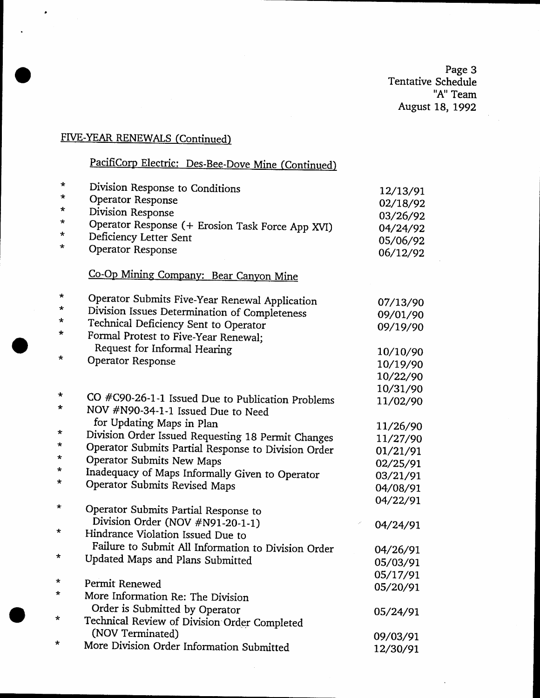Page 3<br>Tentative Schedule<br>"A" Team" August 18, 1992

## FIVE-YEAR RENEWALS (Continued)

## PacifiCorp Electric: Des-Bee-Dove Mine (Continued)

| *          | Division Response to Conditions                     | 12/13/91 |
|------------|-----------------------------------------------------|----------|
| $\star$    | <b>Operator Response</b>                            | 02/18/92 |
| *          | Division Response                                   | 03/26/92 |
| *          | Operator Response (+ Erosion Task Force App XVI)    | 04/24/92 |
| $\star$    | Deficiency Letter Sent                              | 05/06/92 |
| *          | Operator Response                                   | 06/12/92 |
|            |                                                     |          |
|            | Co-Op Mining Company: Bear Canyon Mine              |          |
| $\star$    | Operator Submits Five-Year Renewal Application      | 07/13/90 |
| *          | Division Issues Determination of Completeness       | 09/01/90 |
| *          | Technical Deficiency Sent to Operator               | 09/19/90 |
| *          | Formal Protest to Five-Year Renewal;                |          |
|            | Request for Informal Hearing                        | 10/10/90 |
| *          | Operator Response                                   | 10/19/90 |
|            |                                                     | 10/22/90 |
|            |                                                     | 10/31/90 |
| $\star$    | CO #C90-26-1-1 Issued Due to Publication Problems   | 11/02/90 |
| *          | NOV #N90-34-1-1 Issued Due to Need                  |          |
|            | for Updating Maps in Plan                           | 11/26/90 |
| *          | Division Order Issued Requesting 18 Permit Changes  | 11/27/90 |
| *          | Operator Submits Partial Response to Division Order | 01/21/91 |
| $\star$    | <b>Operator Submits New Maps</b>                    | 02/25/91 |
| $\star$    | Inadequacy of Maps Informally Given to Operator     | 03/21/91 |
| *          | Operator Submits Revised Maps                       | 04/08/91 |
|            |                                                     | 04/22/91 |
| $^\star$   | Operator Submits Partial Response to                |          |
|            | Division Order (NOV #N91-20-1-1)                    | 04/24/91 |
| $\star$    | Hindrance Violation Issued Due to                   |          |
|            | Failure to Submit All Information to Division Order | 04/26/91 |
| *          | Updated Maps and Plans Submitted                    | 05/03/91 |
|            |                                                     | 05/17/91 |
| $^\ast$    | Permit Renewed                                      | 05/20/91 |
| $^{\star}$ | More Information Re: The Division                   |          |
|            | Order is Submitted by Operator                      | 05/24/91 |
| $\star$    | Technical Review of Division Order Completed        |          |
|            | (NOV Terminated)                                    | 09/03/91 |
| *          | More Division Order Information Submitted           | 12/30/91 |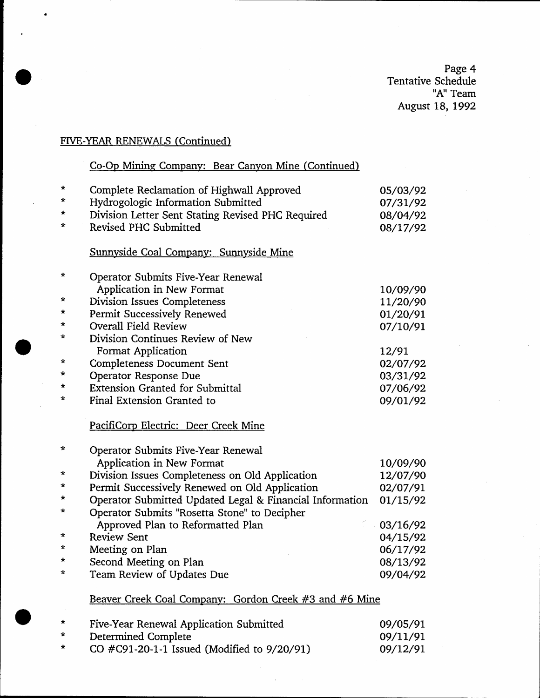Page 4 Tentative Schedule "A" Team August 18, 1992

### FIVE-YEAR RENEWALS (Continued)

### Co-Op Mining Company: Bear Canyon Mine (Continued)

| $\star$  | Complete Reclamation of Highwall Approved                | 05/03/92 |
|----------|----------------------------------------------------------|----------|
| *        | Hydrogologic Information Submitted                       | 07/31/92 |
| $^\star$ | Division Letter Sent Stating Revised PHC Required        | 08/04/92 |
| *        | Revised PHC Submitted                                    | 08/17/92 |
|          |                                                          |          |
|          | Sunnyside Coal Company: Sunnyside Mine                   |          |
| ☆        | Operator Submits Five-Year Renewal                       |          |
|          | Application in New Format                                | 10/09/90 |
| *        | Division Issues Completeness                             | 11/20/90 |
| *        | Permit Successively Renewed                              | 01/20/91 |
| *        | <b>Overall Field Review</b>                              | 07/10/91 |
| *        | Division Continues Review of New                         |          |
|          | <b>Format Application</b>                                | 12/91    |
| *        | <b>Completeness Document Sent</b>                        | 02/07/92 |
| *        | Operator Response Due                                    | 03/31/92 |
| $^\star$ | <b>Extension Granted for Submittal</b>                   | 07/06/92 |
| *        | Final Extension Granted to                               |          |
|          |                                                          | 09/01/92 |
|          | PacifiCorp Electric: Deer Creek Mine                     |          |
| *        | Operator Submits Five-Year Renewal                       |          |
|          | Application in New Format                                | 10/09/90 |
| *        | Division Issues Completeness on Old Application          | 12/07/90 |
| *        | Permit Successively Renewed on Old Application           | 02/07/91 |
| *        | Operator Submitted Updated Legal & Financial Information | 01/15/92 |
| *        |                                                          |          |
|          | Operator Submits "Rosetta Stone" to Decipher             |          |
| $^\ast$  | Approved Plan to Reformatted Plan                        | 03/16/92 |
| *        | <b>Review Sent</b>                                       | 04/15/92 |
| $\star$  | Meeting on Plan                                          | 06/17/92 |
|          | Second Meeting on Plan                                   | 08/13/92 |
| *        | Team Review of Updates Due                               | 09/04/92 |
|          |                                                          |          |
|          | Beaver Creek Coal Company: Gordon Creek #3 and #6 Mine   |          |
| *        | Five-Year Renewal Application Submitted                  | 09/05/91 |
| *        | Determined Complete                                      | 09/11/91 |
|          |                                                          |          |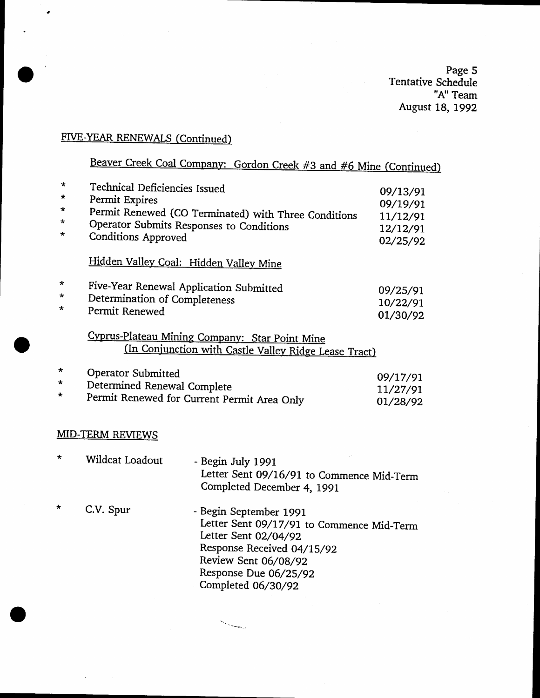page 5 Tentative Schedule "A" Team August 18, 1992

## FIVE-YEAR RENEWALS (Continued)

# Beaver Creek Coal Company: Gordon Creek #3 and #6 Mine (Continued)

| *<br>*<br>$\star$<br>*<br>*      | Technical Deficiencies Issued<br>Permit Expires<br>Operator Submits Responses to Conditions<br><b>Conditions Approved</b> | Permit Renewed (CO Terminated) with Three Conditions                                                                                                                                             | 09/13/91<br>09/19/91<br>11/12/91<br>12/12/91<br>02/25/92 |
|----------------------------------|---------------------------------------------------------------------------------------------------------------------------|--------------------------------------------------------------------------------------------------------------------------------------------------------------------------------------------------|----------------------------------------------------------|
|                                  | Hidden Valley Coal: Hidden Valley Mine                                                                                    |                                                                                                                                                                                                  |                                                          |
| $\star$<br>*<br>$\star$          | Five-Year Renewal Application Submitted<br>Determination of Completeness<br>Permit Renewed                                |                                                                                                                                                                                                  | 09/25/91<br>10/22/91<br>01/30/92                         |
|                                  |                                                                                                                           | Cyprus-Plateau Mining Company: Star Point Mine<br>(In Conjunction with Castle Valley Ridge Lease Tract)                                                                                          |                                                          |
| $\star$<br>$\star$<br>$^{\star}$ | Operator Submitted<br>Determined Renewal Complete<br>Permit Renewed for Current Permit Area Only                          |                                                                                                                                                                                                  | 09/17/91<br>11/27/91<br>01/28/92                         |
|                                  | <b>MID-TERM REVIEWS</b>                                                                                                   |                                                                                                                                                                                                  |                                                          |
| ∗                                | Wildcat Loadout                                                                                                           | - Begin July 1991<br>Letter Sent 09/16/91 to Commence Mid-Term<br>Completed December 4, 1991                                                                                                     |                                                          |
| $\star$                          | C.V. Spur                                                                                                                 | - Begin September 1991<br>Letter Sent 09/17/91 to Commence Mid-Term<br>Letter Sent 02/04/92<br>Response Received 04/15/92<br>Review Sent 06/08/92<br>Response Due 06/25/92<br>Completed 06/30/92 |                                                          |

**Service Controller Controller Controller**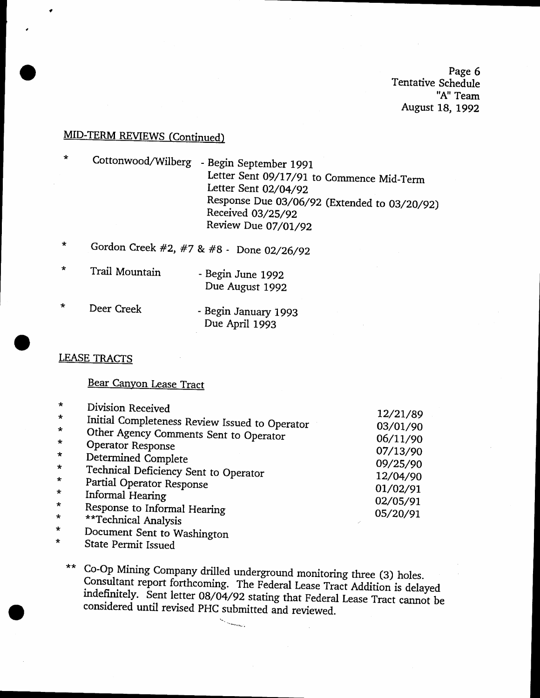Page 6 Tentative Schedule 'h" Team August 18, 1992

### MID-TERM REVIEWS (Continued)

 $\star$ Cottonwood/Wilberg - Begin September 1991 Letter Sent 09/17/91 to Commence Mid-Term Letter Senr OZ/O4/gz Response Due 03/06/92 (Extended to 03/20/92) Received 03/25/92 Review Due 07/01/92

- Gordon Creek #2, #7 & #B Done 02/26/92  $\star$
- $\star$ Trail Mountain - Begin June 1992 Due August 1992
- $\star$ Deer Creek - Begin January 1993 Due April 1993

### **LEASE TRACTS**

#### Bear Canyon Lease Tract

| $\star$ | Division Received                              |          |
|---------|------------------------------------------------|----------|
| $\star$ |                                                | 12/21/89 |
| $\star$ | Initial Completeness Review Issued to Operator | 03/01/90 |
| $\star$ | Other Agency Comments Sent to Operator         | 06/11/90 |
|         | Operator Response                              | 07/13/90 |
| $\star$ | Determined Complete                            | 09/25/90 |
| $\star$ | Technical Deficiency Sent to Operator          |          |
| $\star$ | Partial Operator Response                      | 12/04/90 |
| $\star$ | Informal Hearing                               | 01/02/91 |
| $\star$ |                                                | 02/05/91 |
| $\star$ | Response to Informal Hearing                   | 05/20/91 |
|         | **Technical Analysis                           |          |
| $\star$ | Document Sent to Washington                    |          |

\* State Permit Issued

\*\* Co-Op Mining Company drilled underground monitoring three (3) holes.<br>Consultant report forthcoming. The Federal Lease Tract Addition is delayed<br>indefinitely. Sent letter 08/04/92 stating that Federal Lease Tract cannot

 $\sim$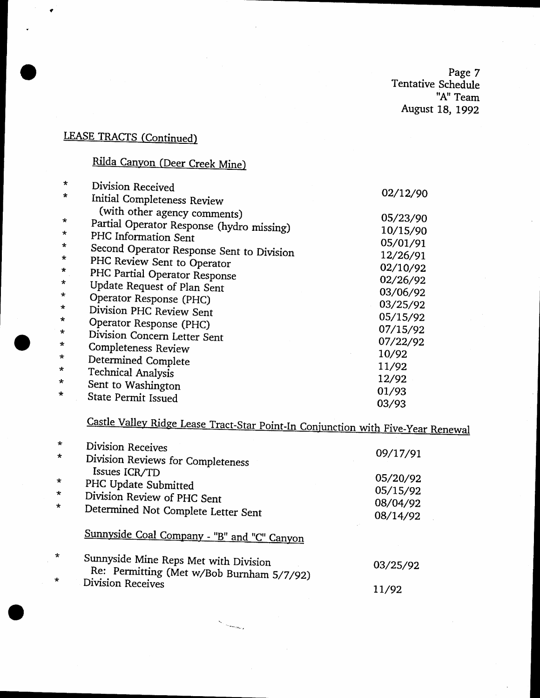page <sup>7</sup> Tentative Schedule "A" Team August 18, 1992

## **LEASE TRACTS (Continued)**

## Rilda Canyon (Deer Creek Mine)

| $\star$           | Division Received                                                         |                      |
|-------------------|---------------------------------------------------------------------------|----------------------|
| $\star$           | Initial Completeness Review                                               | 02/12/90             |
| $\star$<br>$\ast$ | (with other agency comments)<br>Partial Operator Response (hydro missing) | 05/23/90<br>10/15/90 |
| $\star$           | PHC Information Sent                                                      | 05/01/91             |
| $\star$           | Second Operator Response Sent to Division                                 | 12/26/91             |
| $\star$           | PHC Review Sent to Operator                                               | 02/10/92             |
| $\star$           | PHC Partial Operator Response<br>Update Request of Plan Sent              | 02/26/92             |
| $\star$           | Operator Response (PHC)                                                   | 03/06/92             |
| $\star$           | Division PHC Review Sent                                                  | 03/25/92             |
| $\star$           | Operator Response (PHC)                                                   | 05/15/92             |
| $\star$           | Division Concern Letter Sent                                              | 07/15/92             |
| $\star$           | Completeness Review                                                       | 07/22/92<br>10/92    |
| $\star$           | Determined Complete                                                       | 11/92                |
| $\star$           | <b>Technical Analysis</b>                                                 | 12/92                |
| $\star$<br>÷      | Sent to Washington                                                        | 01/93                |
|                   | State Permit Issued                                                       | 03/93                |

# Castle Valley Ridge Lease Tract-Star Point-In Conjunction with Five-Year Renewal

| $\star$ | Division Receives                                                                  |          |
|---------|------------------------------------------------------------------------------------|----------|
| $\star$ | Division Reviews for Completeness                                                  | 09/17/91 |
| $\star$ | Issues ICR/TD                                                                      | 05/20/92 |
|         | PHC Update Submitted                                                               | 05/15/92 |
| $\star$ | Division Review of PHC Sent                                                        | 08/04/92 |
| $\star$ | Determined Not Complete Letter Sent                                                | 08/14/92 |
|         | Sunnyside Coal Company - "B" and "C" Canyon                                        |          |
| $\star$ | Sunnyside Mine Reps Met with Division<br>Re: Permitting (Met w/Bob Burnham 5/7/92) | 03/25/92 |
| $\star$ | <b>Division Receives</b>                                                           | 11/92    |

 $S_{\alpha}$  , and  $S_{\alpha}$  , and  $S_{\alpha}$